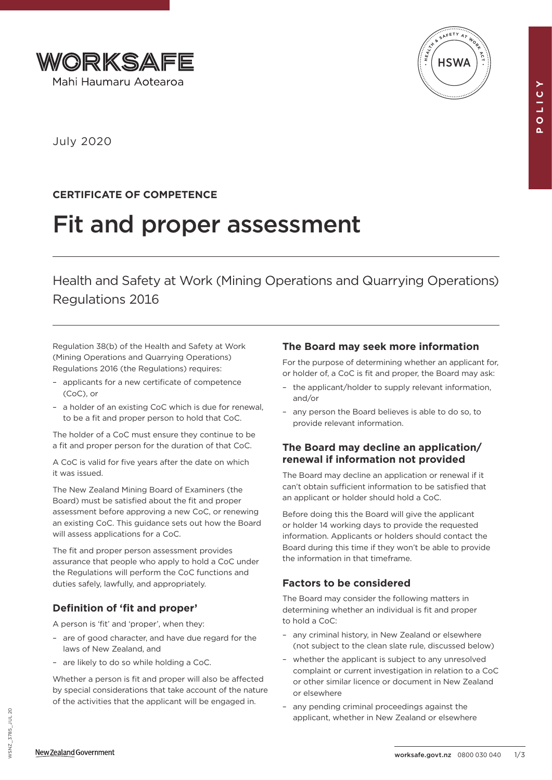



July 2020

# **CERTIFICATE OF COMPETENCE**

# Fit and proper assessment

Health and Safety at Work (Mining Operations and Quarrying Operations) Regulations 2016

Regulation 38(b) of the Health and Safety at Work (Mining Operations and Quarrying Operations) Regulations 2016 (the Regulations) requires:

- applicants for a new certificate of competence (CoC), or
- a holder of an existing CoC which is due for renewal, to be a fit and proper person to hold that CoC.

The holder of a CoC must ensure they continue to be a fit and proper person for the duration of that CoC.

A CoC is valid for five years after the date on which it was issued.

The New Zealand Mining Board of Examiners (the Board) must be satisfied about the fit and proper assessment before approving a new CoC, or renewing an existing CoC. This guidance sets out how the Board will assess applications for a CoC.

The fit and proper person assessment provides assurance that people who apply to hold a CoC under the Regulations will perform the CoC functions and duties safely, lawfully, and appropriately.

# **Definition of 'fit and proper'**

A person is 'fit' and 'proper', when they:

- are of good character, and have due regard for the laws of New Zealand, and
- are likely to do so while holding a CoC.

Whether a person is fit and proper will also be affected by special considerations that take account of the nature of the activities that the applicant will be engaged in.

# **The Board may seek more information**

For the purpose of determining whether an applicant for, or holder of, a CoC is fit and proper, the Board may ask:

- the applicant/holder to supply relevant information, and/or
- any person the Board believes is able to do so, to provide relevant information.

# **The Board may decline an application/ renewal if information not provided**

The Board may decline an application or renewal if it can't obtain sufficient information to be satisfied that an applicant or holder should hold a CoC.

Before doing this the Board will give the applicant or holder 14 working days to provide the requested information. Applicants or holders should contact the Board during this time if they won't be able to provide the information in that timeframe.

# **Factors to be considered**

The Board may consider the following matters in determining whether an individual is fit and proper to hold a CoC:

- any criminal history, in New Zealand or elsewhere (not subject to the clean slate rule, discussed below)
- whether the applicant is subject to any unresolved complaint or current investigation in relation to a CoC or other similar licence or document in New Zealand or elsewhere
- any pending criminal proceedings against the applicant, whether in New Zealand or elsewhere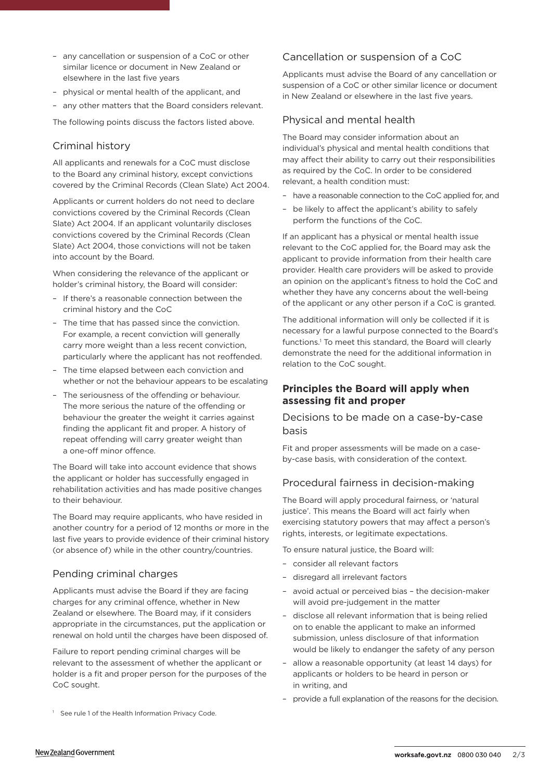- any cancellation or suspension of a CoC or other similar licence or document in New Zealand or elsewhere in the last five years
- physical or mental health of the applicant, and
- any other matters that the Board considers relevant.

The following points discuss the factors listed above.

#### Criminal history

All applicants and renewals for a CoC must disclose to the Board any criminal history, except convictions covered by the Criminal Records (Clean Slate) Act 2004.

Applicants or current holders do not need to declare convictions covered by the Criminal Records (Clean Slate) Act 2004. If an applicant voluntarily discloses convictions covered by the Criminal Records (Clean Slate) Act 2004, those convictions will not be taken into account by the Board.

When considering the relevance of the applicant or holder's criminal history, the Board will consider:

- If there's a reasonable connection between the criminal history and the CoC
- The time that has passed since the conviction. For example, a recent conviction will generally carry more weight than a less recent conviction, particularly where the applicant has not reoffended.
- The time elapsed between each conviction and whether or not the behaviour appears to be escalating
- The seriousness of the offending or behaviour. The more serious the nature of the offending or behaviour the greater the weight it carries against finding the applicant fit and proper. A history of repeat offending will carry greater weight than a one-off minor offence.

The Board will take into account evidence that shows the applicant or holder has successfully engaged in rehabilitation activities and has made positive changes to their behaviour.

The Board may require applicants, who have resided in another country for a period of 12 months or more in the last five years to provide evidence of their criminal history (or absence of) while in the other country/countries.

## Pending criminal charges

Applicants must advise the Board if they are facing charges for any criminal offence, whether in New Zealand or elsewhere. The Board may, if it considers appropriate in the circumstances, put the application or renewal on hold until the charges have been disposed of.

Failure to report pending criminal charges will be relevant to the assessment of whether the applicant or holder is a fit and proper person for the purposes of the CoC sought.

<sup>1</sup> See rule 1 of the Health Information Privacy Code.

#### Cancellation or suspension of a CoC

Applicants must advise the Board of any cancellation or suspension of a CoC or other similar licence or document in New Zealand or elsewhere in the last five years.

#### Physical and mental health

The Board may consider information about an individual's physical and mental health conditions that may affect their ability to carry out their responsibilities as required by the CoC. In order to be considered relevant, a health condition must:

- have a reasonable connection to the CoC applied for, and
- be likely to affect the applicant's ability to safely perform the functions of the CoC.

If an applicant has a physical or mental health issue relevant to the CoC applied for, the Board may ask the applicant to provide information from their health care provider. Health care providers will be asked to provide an opinion on the applicant's fitness to hold the CoC and whether they have any concerns about the well-being of the applicant or any other person if a CoC is granted.

The additional information will only be collected if it is necessary for a lawful purpose connected to the Board's functions.<sup>1</sup> To meet this standard, the Board will clearly demonstrate the need for the additional information in relation to the CoC sought.

### **Principles the Board will apply when assessing fit and proper**

#### Decisions to be made on a case-by-case basis

Fit and proper assessments will be made on a caseby-case basis, with consideration of the context.

#### Procedural fairness in decision-making

The Board will apply procedural fairness, or 'natural justice'. This means the Board will act fairly when exercising statutory powers that may affect a person's rights, interests, or legitimate expectations.

To ensure natural justice, the Board will:

- consider all relevant factors
- disregard all irrelevant factors
- avoid actual or perceived bias the decision-maker will avoid pre-judgement in the matter
- disclose all relevant information that is being relied on to enable the applicant to make an informed submission, unless disclosure of that information would be likely to endanger the safety of any person
- allow a reasonable opportunity (at least 14 days) for applicants or holders to be heard in person or in writing, and
- provide a full explanation of the reasons for the decision.